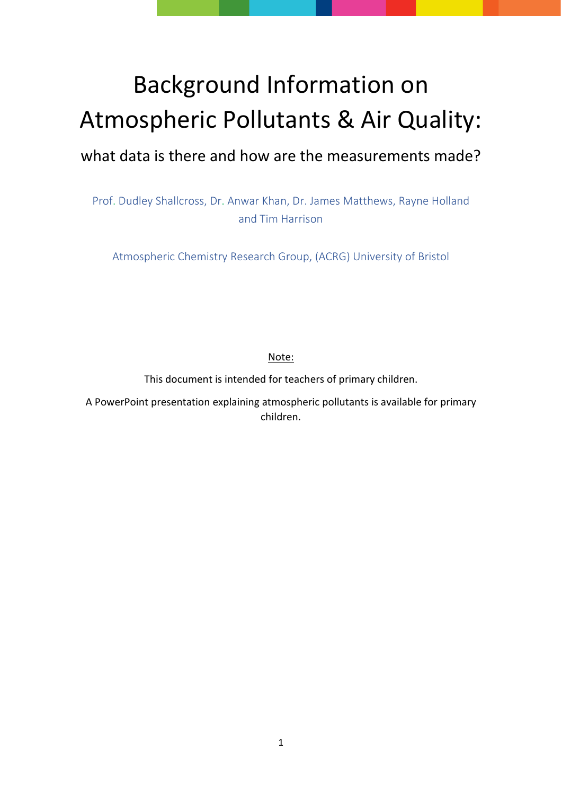# Background Information on Atmospheric Pollutants & Air Quality:

# what data is there and how are the measurements made?

Prof. Dudley Shallcross, Dr. Anwar Khan, Dr. James Matthews, Rayne Holland and Tim Harrison

Atmospheric Chemistry Research Group, (ACRG) University of Bristol

Note:

This document is intended for teachers of primary children.

A PowerPoint presentation explaining atmospheric pollutants is available for primary children.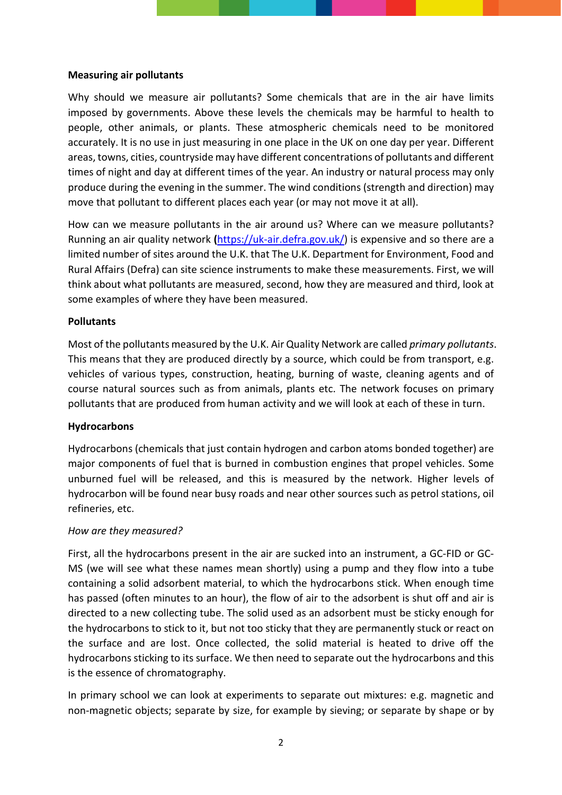#### **Measuring air pollutants**

Why should we measure air pollutants? Some chemicals that are in the air have limits imposed by governments. Above these levels the chemicals may be harmful to health to people, other animals, or plants. These atmospheric chemicals need to be monitored accurately. It is no use in just measuring in one place in the UK on one day per year. Different areas, towns, cities, countryside may have different concentrations of pollutants and different times of night and day at different times of the year. An industry or natural process may only produce during the evening in the summer. The wind conditions (strength and direction) may move that pollutant to different places each year (or may not move it at all).

How can we measure pollutants in the air around us? Where can we measure pollutants? Running an air quality network **(**[https://uk-air.defra.gov.uk/\)](https://uk-air.defra.gov.uk/) is expensive and so there are a limited number of sites around the U.K. that The U.K. Department for Environment, Food and Rural Affairs (Defra) can site science instruments to make these measurements. First, we will think about what pollutants are measured, second, how they are measured and third, look at some examples of where they have been measured.

#### **Pollutants**

Most of the pollutants measured by the U.K. Air Quality Network are called *primary pollutants*. This means that they are produced directly by a source, which could be from transport, e.g. vehicles of various types, construction, heating, burning of waste, cleaning agents and of course natural sources such as from animals, plants etc. The network focuses on primary pollutants that are produced from human activity and we will look at each of these in turn.

#### **Hydrocarbons**

Hydrocarbons (chemicals that just contain hydrogen and carbon atoms bonded together) are major components of fuel that is burned in combustion engines that propel vehicles. Some unburned fuel will be released, and this is measured by the network. Higher levels of hydrocarbon will be found near busy roads and near other sources such as petrol stations, oil refineries, etc.

#### *How are they measured?*

First, all the hydrocarbons present in the air are sucked into an instrument, a GC-FID or GC-MS (we will see what these names mean shortly) using a pump and they flow into a tube containing a solid adsorbent material, to which the hydrocarbons stick. When enough time has passed (often minutes to an hour), the flow of air to the adsorbent is shut off and air is directed to a new collecting tube. The solid used as an adsorbent must be sticky enough for the hydrocarbons to stick to it, but not too sticky that they are permanently stuck or react on the surface and are lost. Once collected, the solid material is heated to drive off the hydrocarbons sticking to its surface. We then need to separate out the hydrocarbons and this is the essence of chromatography.

In primary school we can look at experiments to separate out mixtures: e.g. magnetic and non-magnetic objects; separate by size, for example by sieving; or separate by shape or by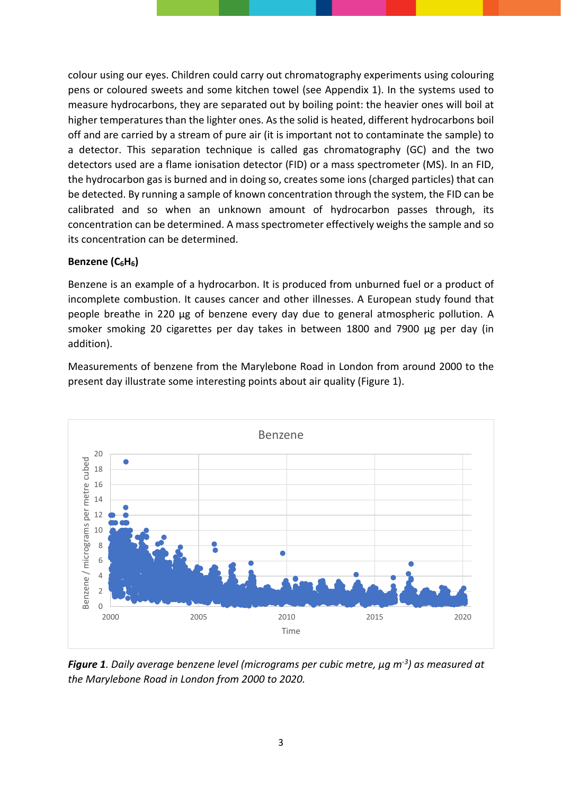colour using our eyes. Children could carry out chromatography experiments using colouring pens or coloured sweets and some kitchen towel (see Appendix 1). In the systems used to measure hydrocarbons, they are separated out by boiling point: the heavier ones will boil at higher temperatures than the lighter ones. As the solid is heated, different hydrocarbons boil off and are carried by a stream of pure air (it is important not to contaminate the sample) to a detector. This separation technique is called gas chromatography (GC) and the two detectors used are a flame ionisation detector (FID) or a mass spectrometer (MS). In an FID, the hydrocarbon gas is burned and in doing so, creates some ions (charged particles) that can be detected. By running a sample of known concentration through the system, the FID can be calibrated and so when an unknown amount of hydrocarbon passes through, its concentration can be determined. A mass spectrometer effectively weighs the sample and so its concentration can be determined.

#### **Benzene (C6H6)**

Benzene is an example of a hydrocarbon. It is produced from unburned fuel or a product of incomplete combustion. It causes cancer and other illnesses. A European study found that people breathe in 220 μg of benzene every day due to general atmospheric pollution. A smoker smoking 20 cigarettes per day takes in between 1800 and 7900 μg per day (in addition).

Measurements of benzene from the Marylebone Road in London from around 2000 to the present day illustrate some interesting points about air quality (Figure 1).



*Figure 1. Daily average benzene level (micrograms per cubic metre, μg m-3 ) as measured at the Marylebone Road in London from 2000 to 2020.*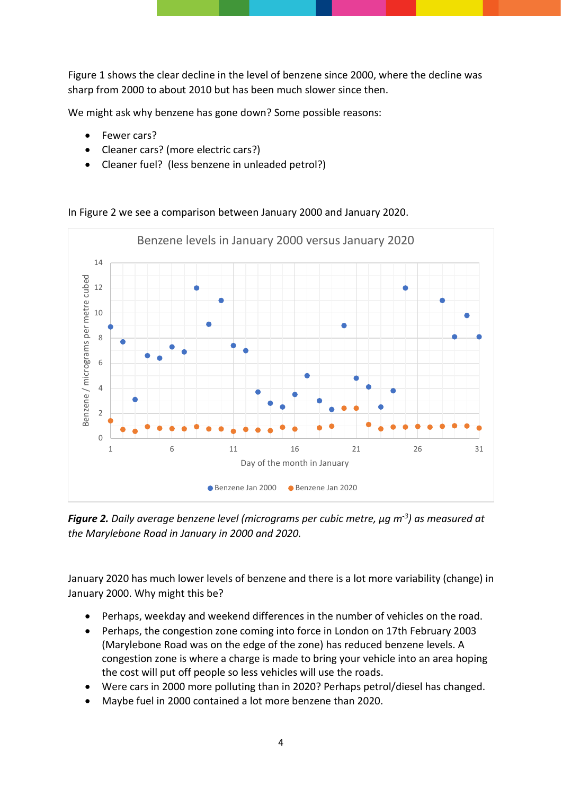Figure 1 shows the clear decline in the level of benzene since 2000, where the decline was sharp from 2000 to about 2010 but has been much slower since then.

We might ask why benzene has gone down? Some possible reasons:

- Fewer cars?
- Cleaner cars? (more electric cars?)
- Cleaner fuel? (less benzene in unleaded petrol?)



In Figure 2 we see a comparison between January 2000 and January 2020.

*Figure 2. Daily average benzene level (micrograms per cubic metre, μg m-3 ) as measured at the Marylebone Road in January in 2000 and 2020.*

January 2020 has much lower levels of benzene and there is a lot more variability (change) in January 2000. Why might this be?

- Perhaps, weekday and weekend differences in the number of vehicles on the road.
- Perhaps, the congestion zone coming into force in London on 17th February 2003 (Marylebone Road was on the edge of the zone) has reduced benzene levels. A congestion zone is where a charge is made to bring your vehicle into an area hoping the cost will put off people so less vehicles will use the roads.
- Were cars in 2000 more polluting than in 2020? Perhaps petrol/diesel has changed.
- Maybe fuel in 2000 contained a lot more benzene than 2020.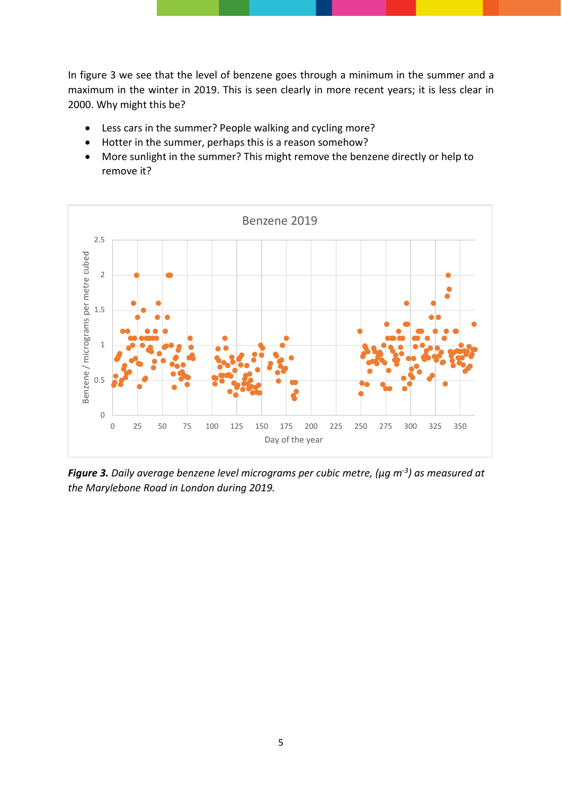In figure 3 we see that the level of benzene goes through a minimum in the summer and a maximum in the winter in 2019. This is seen clearly in more recent years; it is less clear in 2000. Why might this be?

- Less cars in the summer? People walking and cycling more?
- Hotter in the summer, perhaps this is a reason somehow?
- More sunlight in the summer? This might remove the benzene directly or help to remove it?



*Figure 3. Daily average benzene level micrograms per cubic metre, (μg m-3) as measured at the Marylebone Road in London during 2019.*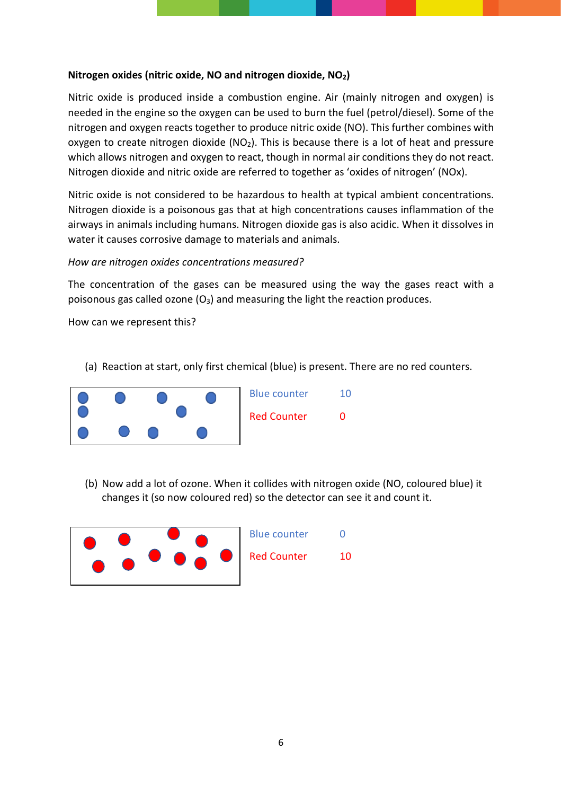#### **Nitrogen oxides (nitric oxide, NO and nitrogen dioxide, NO2)**

Nitric oxide is produced inside a combustion engine. Air (mainly nitrogen and oxygen) is needed in the engine so the oxygen can be used to burn the fuel (petrol/diesel). Some of the nitrogen and oxygen reacts together to produce nitric oxide (NO). This further combines with oxygen to create nitrogen dioxide ( $NO<sub>2</sub>$ ). This is because there is a lot of heat and pressure which allows nitrogen and oxygen to react, though in normal air conditions they do not react. Nitrogen dioxide and nitric oxide are referred to together as 'oxides of nitrogen' (NOx).

Nitric oxide is not considered to be hazardous to health at typical ambient concentrations. Nitrogen dioxide is a poisonous gas that at high concentrations causes inflammation of the airways in animals including humans. Nitrogen dioxide gas is also acidic. When it dissolves in water it causes corrosive damage to materials and animals.

#### *How are nitrogen oxides concentrations measured?*

The concentration of the gases can be measured using the way the gases react with a poisonous gas called ozone  $(O_3)$  and measuring the light the reaction produces.

How can we represent this?

(a) Reaction at start, only first chemical (blue) is present. There are no red counters.



(b) Now add a lot of ozone. When it collides with nitrogen oxide (NO, coloured blue) it changes it (so now coloured red) so the detector can see it and count it.

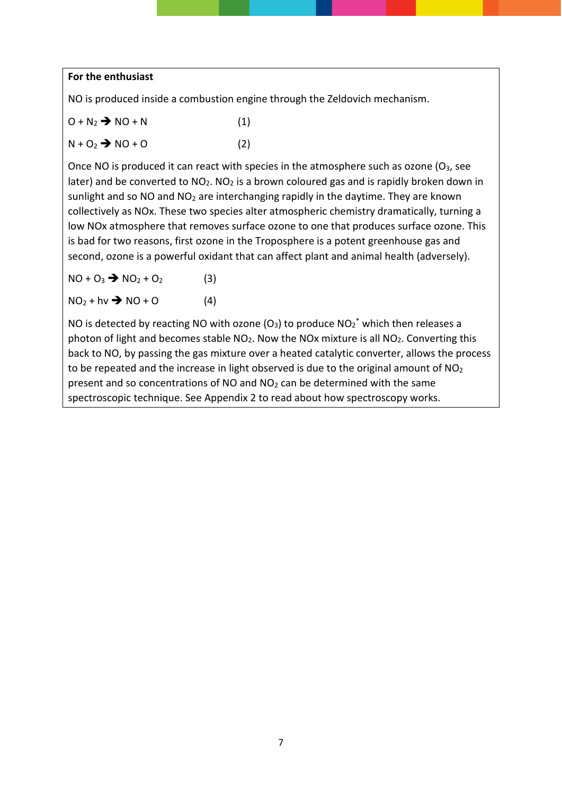#### **For the enthusiast**

NO is produced inside a combustion engine through the Zeldovich mechanism.

- $O + N_2 \rightarrow NO + N$  (1)
- $N + O_2$   $\rightarrow$   $NO + O$  (2)

Once NO is produced it can react with species in the atmosphere such as ozone  $(O_3,$  see later) and be converted to  $NO<sub>2</sub>$ . NO<sub>2</sub> is a brown coloured gas and is rapidly broken down in sunlight and so NO and  $NO<sub>2</sub>$  are interchanging rapidly in the daytime. They are known collectively as NOx. These two species alter atmospheric chemistry dramatically, turning a low NOx atmosphere that removes surface ozone to one that produces surface ozone. This is bad for two reasons, first ozone in the Troposphere is a potent greenhouse gas and second, ozone is a powerful oxidant that can affect plant and animal health (adversely).

 $NO + O_3$   $\rightarrow$   $NO_2 + O_2$  (3)

$$
NO_2 + hv \rightarrow NO + O
$$
 (4)

NO is detected by reacting NO with ozone (O<sub>3</sub>) to produce  $NO_2^*$  which then releases a photon of light and becomes stable  $NO<sub>2</sub>$ . Now the NOx mixture is all  $NO<sub>2</sub>$ . Converting this back to NO, by passing the gas mixture over a heated catalytic converter, allows the process to be repeated and the increase in light observed is due to the original amount of  $NO<sub>2</sub>$ present and so concentrations of NO and NO2 can be determined with the same spectroscopic technique. See Appendix 2 to read about how spectroscopy works.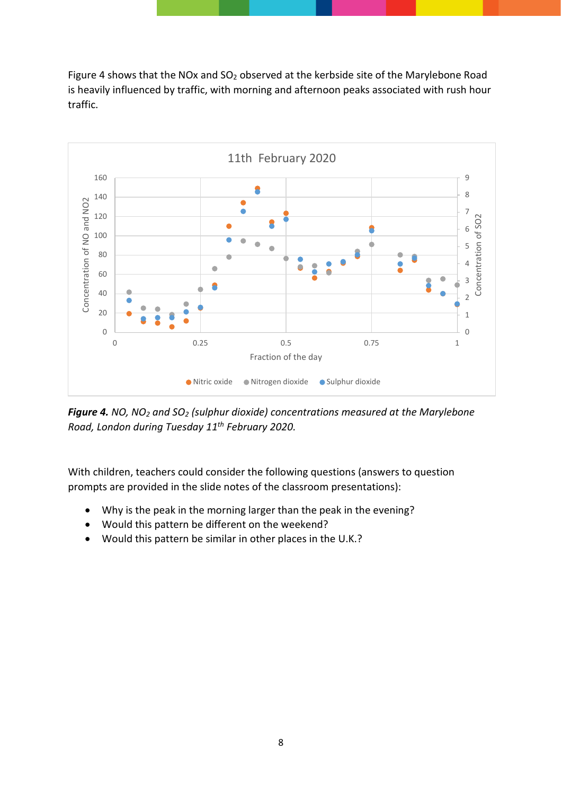Figure 4 shows that the NOx and SO<sub>2</sub> observed at the kerbside site of the Marylebone Road is heavily influenced by traffic, with morning and afternoon peaks associated with rush hour traffic.



*Figure 4. NO, NO2 and SO2 (sulphur dioxide) concentrations measured at the Marylebone Road, London during Tuesday 11th February 2020.*

With children, teachers could consider the following questions (answers to question prompts are provided in the slide notes of the classroom presentations):

- Why is the peak in the morning larger than the peak in the evening?
- Would this pattern be different on the weekend?
- Would this pattern be similar in other places in the U.K.?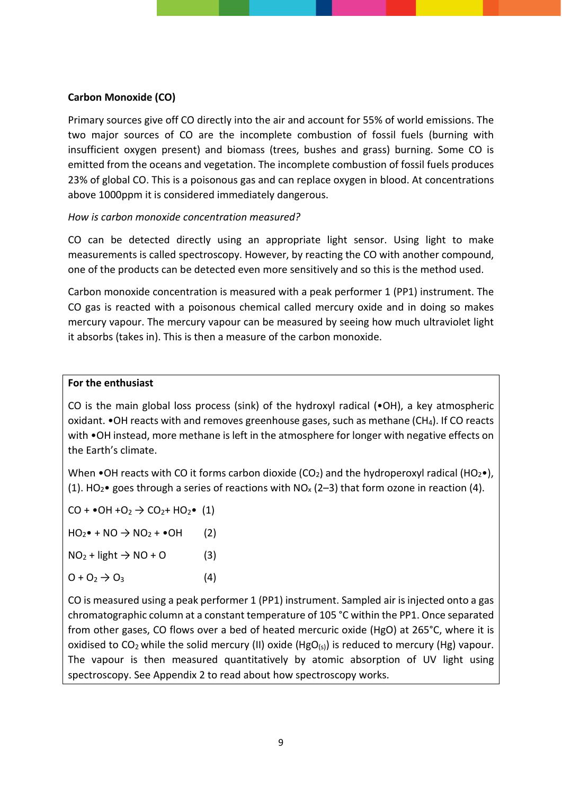#### **Carbon Monoxide (CO)**

Primary sources give off CO directly into the air and account for 55% of world emissions. The two major sources of CO are the incomplete combustion of fossil fuels (burning with insufficient oxygen present) and biomass (trees, bushes and grass) burning. Some CO is emitted from the oceans and vegetation. The incomplete combustion of fossil fuels produces 23% of global CO. This is a poisonous gas and can replace oxygen in blood. At concentrations above 1000ppm it is considered immediately dangerous.

#### *How is carbon monoxide concentration measured?*

CO can be detected directly using an appropriate light sensor. Using light to make measurements is called spectroscopy. However, by reacting the CO with another compound, one of the products can be detected even more sensitively and so this is the method used.

Carbon monoxide concentration is measured with a peak performer 1 (PP1) instrument. The CO gas is reacted with a poisonous chemical called mercury oxide and in doing so makes mercury vapour. The mercury vapour can be measured by seeing how much ultraviolet light it absorbs (takes in). This is then a measure of the carbon monoxide.

#### **For the enthusiast**

CO is the main global loss process (sink) of the hydroxyl radical (•OH), a key atmospheric oxidant. •OH reacts with and removes greenhouse gases, such as methane (CH4). If CO reacts with •OH instead, more methane is left in the atmosphere for longer with negative effects on the Earth's climate.

When •OH reacts with CO it forms carbon dioxide (CO<sub>2</sub>) and the hydroperoxyl radical (HO<sub>2</sub>•), (1). HO<sub>2</sub>• goes through a series of reactions with NO<sub>x</sub> (2-3) that form ozone in reaction (4).

 $CO + \bullet OH + O_2 \rightarrow CO_2 + HO_2 \bullet (1)$ 

 $HO_2 \bullet + NO \rightarrow NO_2 + \bullet OH$  (2)

 $NO<sub>2</sub> + light \rightarrow NO + O$  (3)

 $Q + Q_2 \rightarrow Q_3$  (4)

CO is measured using a peak performer 1 (PP1) instrument. Sampled air is injected onto a gas chromatographic column at a constant temperature of 105 °C within the PP1. Once separated from other gases, CO flows over a bed of heated mercuric oxide (HgO) at 265°C, where it is oxidised to  $CO_2$  while the solid mercury (II) oxide ( $HgO(s)$ ) is reduced to mercury ( $Hg$ ) vapour. The vapour is then measured quantitatively by atomic absorption of UV light using spectroscopy. See Appendix 2 to read about how spectroscopy works.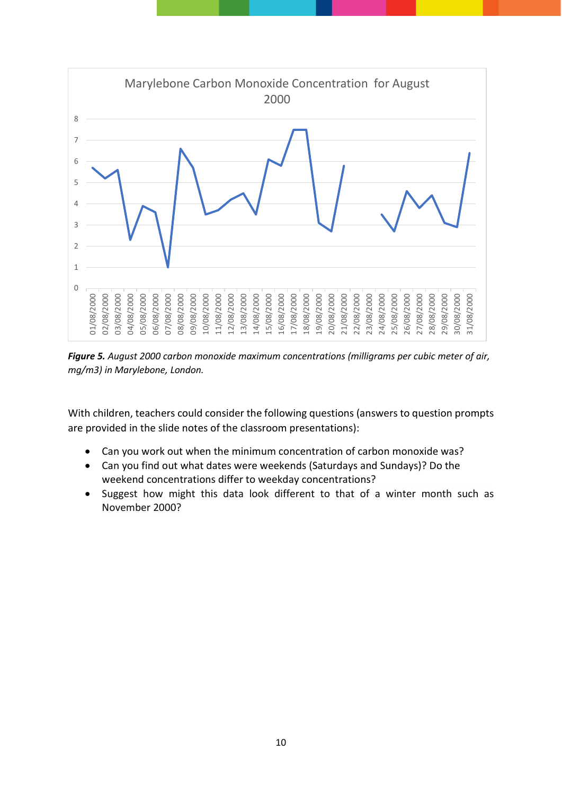

*Figure 5. August 2000 carbon monoxide maximum concentrations (milligrams per cubic meter of air, mg/m3) in Marylebone, London.*

With children, teachers could consider the following questions (answers to question prompts are provided in the slide notes of the classroom presentations):

- Can you work out when the minimum concentration of carbon monoxide was?
- Can you find out what dates were weekends (Saturdays and Sundays)? Do the weekend concentrations differ to weekday concentrations?
- Suggest how might this data look different to that of a winter month such as November 2000?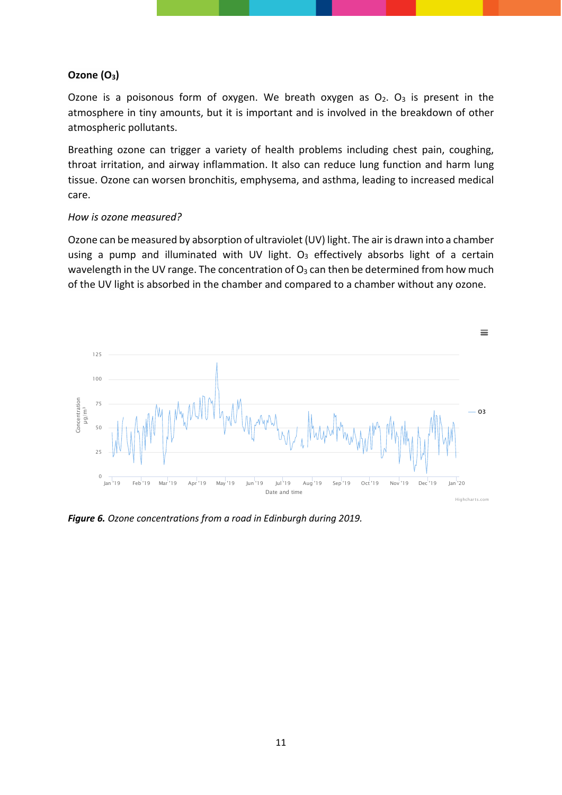#### **Ozone (O3)**

Ozone is a poisonous form of oxygen. We breath oxygen as  $O_2$ .  $O_3$  is present in the atmosphere in tiny amounts, but it is important and is involved in the breakdown of other atmospheric pollutants.

Breathing ozone can trigger a variety of health problems including chest pain, coughing, throat irritation, and airway inflammation. It also can reduce lung function and harm lung tissue. Ozone can worsen bronchitis, emphysema, and asthma, leading to increased medical care.

#### *How is ozone measured?*

Ozone can be measured by absorption of ultraviolet (UV) light. The air is drawn into a chamber using a pump and illuminated with UV light.  $O<sub>3</sub>$  effectively absorbs light of a certain wavelength in the UV range. The concentration of  $O_3$  can then be determined from how much of the UV light is absorbed in the chamber and compared to a chamber without any ozone.



*Figure 6. Ozone concentrations from a road in Edinburgh during 2019.*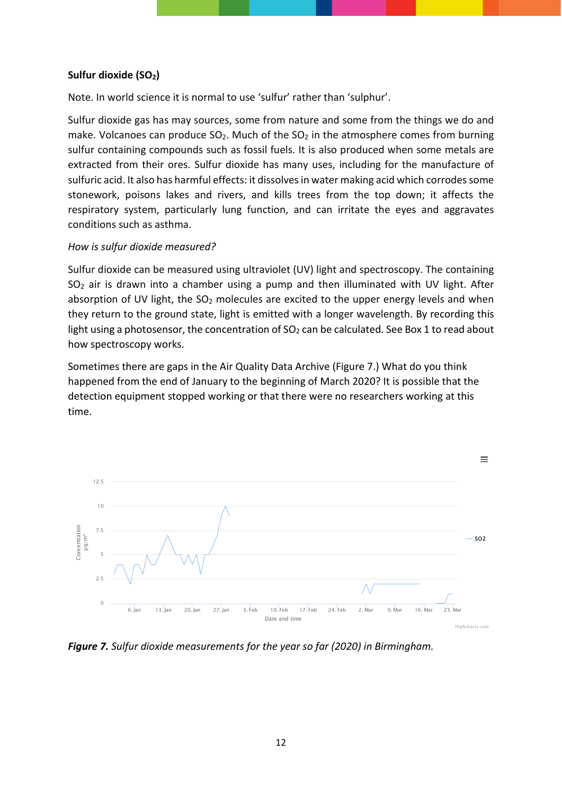#### **Sulfur dioxide (SO2)**

Note. In world science it is normal to use 'sulfur' rather than 'sulphur'.

Sulfur dioxide gas has may sources, some from nature and some from the things we do and make. Volcanoes can produce  $SO_2$ . Much of the  $SO_2$  in the atmosphere comes from burning sulfur containing compounds such as fossil fuels. It is also produced when some metals are extracted from their ores. Sulfur dioxide has many uses, including for the manufacture of sulfuric acid. It also has harmful effects: it dissolves in water making acid which corrodes some stonework, poisons lakes and rivers, and kills trees from the top down; it affects the respiratory system, particularly lung function, and can irritate the eyes and aggravates conditions such as asthma.

#### *How is sulfur dioxide measured?*

Sulfur dioxide can be measured using ultraviolet (UV) light and spectroscopy. The containing SO2 air is drawn into a chamber using a pump and then illuminated with UV light. After absorption of UV light, the  $SO<sub>2</sub>$  molecules are excited to the upper energy levels and when they return to the ground state, light is emitted with a longer wavelength. By recording this light using a photosensor, the concentration of  $SO<sub>2</sub>$  can be calculated. See Box 1 to read about how spectroscopy works.

Sometimes there are gaps in the Air Quality Data Archive (Figure 7.) What do you think happened from the end of January to the beginning of March 2020? It is possible that the detection equipment stopped working or that there were no researchers working at this time.



*Figure 7. Sulfur dioxide measurements for the year so far (2020) in Birmingham.*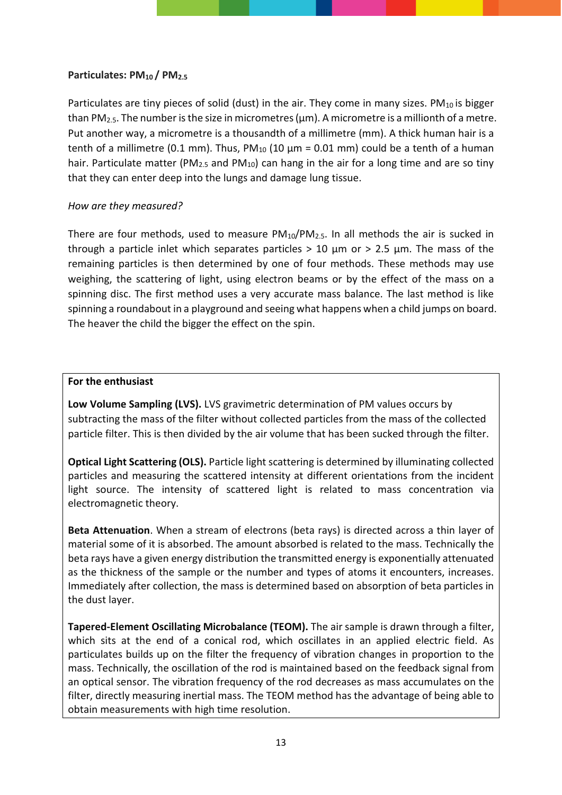#### Particulates: PM<sub>10</sub> / PM<sub>2.5</sub>

Particulates are tiny pieces of solid (dust) in the air. They come in many sizes. PM<sub>10</sub> is bigger than PM<sub>2.5</sub>. The number is the size in micrometres ( $\mu$ m). A micrometre is a millionth of a metre. Put another way, a micrometre is a thousandth of a millimetre (mm). A thick human hair is a tenth of a millimetre (0.1 mm). Thus,  $PM_{10}$  (10  $\mu$ m = 0.01 mm) could be a tenth of a human hair. Particulate matter (PM<sub>2.5</sub> and PM<sub>10</sub>) can hang in the air for a long time and are so tiny that they can enter deep into the lungs and damage lung tissue.

#### *How are they measured?*

There are four methods, used to measure  $PM_{10}/PM_{2.5}$ . In all methods the air is sucked in through a particle inlet which separates particles  $> 10 \mu m$  or  $> 2.5 \mu m$ . The mass of the remaining particles is then determined by one of four methods. These methods may use weighing, the scattering of light, using electron beams or by the effect of the mass on a spinning disc. The first method uses a very accurate mass balance. The last method is like spinning a roundabout in a playground and seeing what happens when a child jumps on board. The heaver the child the bigger the effect on the spin.

#### **For the enthusiast**

**Low Volume Sampling (LVS).** LVS gravimetric determination of PM values occurs by subtracting the mass of the filter without collected particles from the mass of the collected particle filter. This is then divided by the air volume that has been sucked through the filter.

**Optical Light Scattering (OLS).** Particle light scattering is determined by illuminating collected particles and measuring the scattered intensity at different orientations from the incident light source. The intensity of scattered light is related to mass concentration via electromagnetic theory.

**Beta Attenuation**. When a stream of electrons (beta rays) is directed across a thin layer of material some of it is absorbed. The amount absorbed is related to the mass. Technically the beta rays have a given energy distribution the transmitted energy is exponentially attenuated as the thickness of the sample or the number and types of atoms it encounters, increases. Immediately after collection, the mass is determined based on absorption of beta particles in the dust layer.

**Tapered-Element Oscillating Microbalance (TEOM).** The air sample is drawn through a filter, which sits at the end of a conical rod, which oscillates in an applied electric field. As particulates builds up on the filter the frequency of vibration changes in proportion to the mass. Technically, the oscillation of the rod is maintained based on the feedback signal from an optical sensor. The vibration frequency of the rod decreases as mass accumulates on the filter, directly measuring inertial mass. The TEOM method has the advantage of being able to obtain measurements with high time resolution.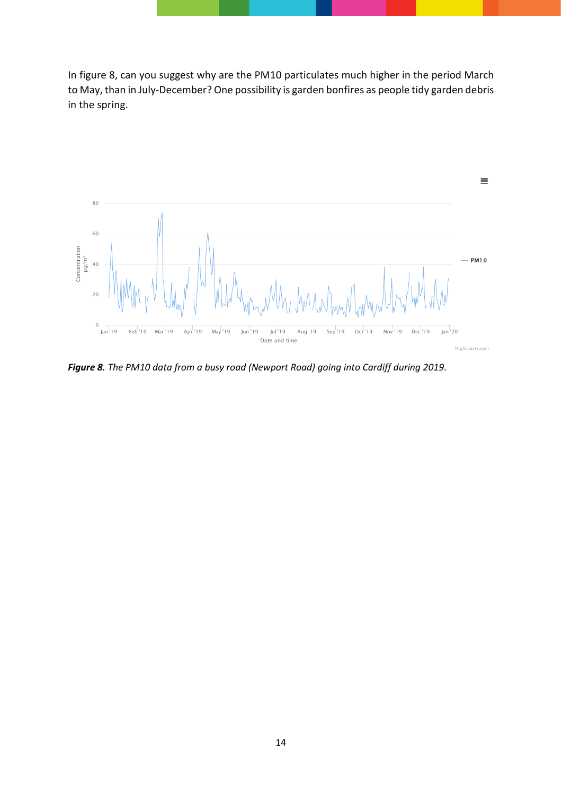In figure 8, can you suggest why are the PM10 particulates much higher in the period March to May, than in July-December? One possibility is garden bonfires as people tidy garden debris in the spring.



*Figure 8. The PM10 data from a busy road (Newport Road) going into Cardiff during 2019.*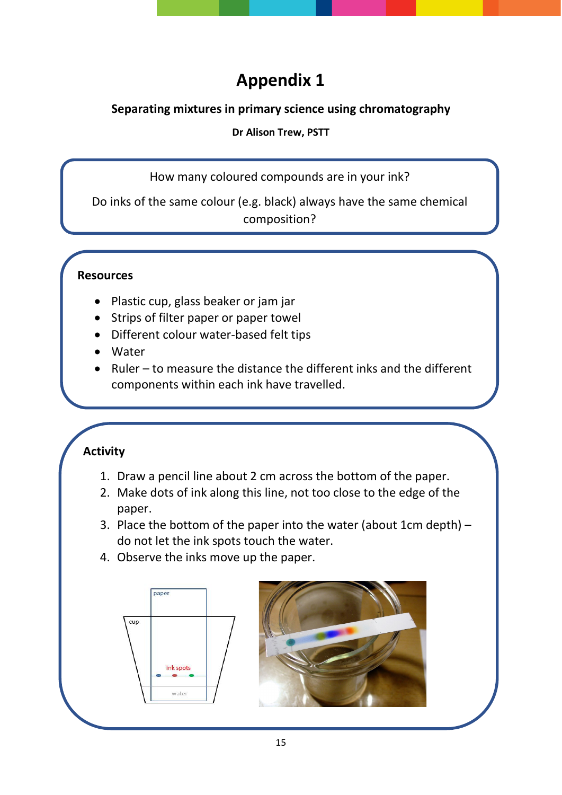# **Appendix 1**

### **Separating mixtures in primary science using chromatography**

#### **Dr Alison Trew, PSTT**

How many coloured compounds are in your ink?

Do inks of the same colour (e.g. black) always have the same chemical composition?

### **Resources**

- Plastic cup, glass beaker or jam jar
- Strips of filter paper or paper towel
- Different colour water-based felt tips
- Water
- Ruler to measure the distance the different inks and the different components within each ink have travelled.

## **Activity**

- 1. Draw a pencil line about 2 cm across the bottom of the paper.
- 2. Make dots of ink along this line, not too close to the edge of the paper.
- 3. Place the bottom of the paper into the water (about 1cm depth)  $$ do not let the ink spots touch the water.
- 4. Observe the inks move up the paper.